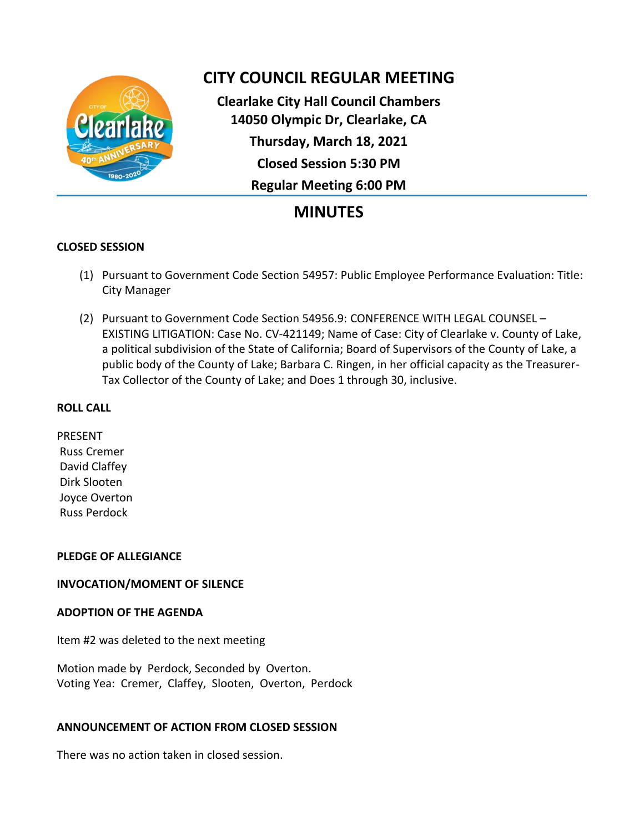

# **CITY COUNCIL REGULAR MEETING**

**Clearlake City Hall Council Chambers 14050 Olympic Dr, Clearlake, CA Thursday, March 18, 2021 Closed Session 5:30 PM Regular Meeting 6:00 PM**

# **MINUTES**

# **CLOSED SESSION**

- (1) Pursuant to Government Code Section 54957: Public Employee Performance Evaluation: Title: City Manager
- (2) Pursuant to Government Code Section 54956.9: CONFERENCE WITH LEGAL COUNSEL EXISTING LITIGATION: Case No. CV-421149; Name of Case: City of Clearlake v. County of Lake, a political subdivision of the State of California; Board of Supervisors of the County of Lake, a public body of the County of Lake; Barbara C. Ringen, in her official capacity as the Treasurer-Tax Collector of the County of Lake; and Does 1 through 30, inclusive.

## **ROLL CALL**

PRESENT Russ Cremer David Claffey Dirk Slooten Joyce Overton Russ Perdock

# **PLEDGE OF ALLEGIANCE**

# **INVOCATION/MOMENT OF SILENCE**

## **ADOPTION OF THE AGENDA**

Item #2 was deleted to the next meeting

Motion made by Perdock, Seconded by Overton. Voting Yea: Cremer, Claffey, Slooten, Overton, Perdock

# **ANNOUNCEMENT OF ACTION FROM CLOSED SESSION**

There was no action taken in closed session.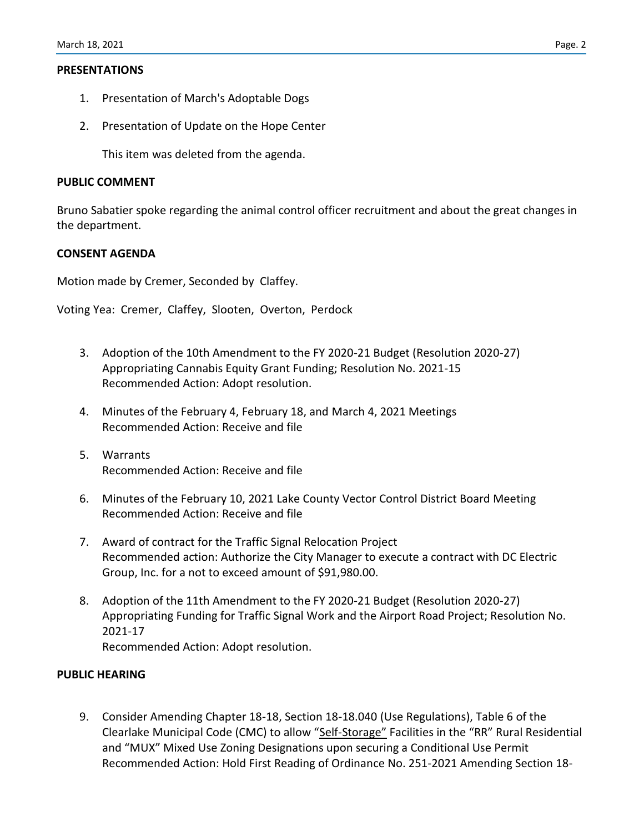### **PRESENTATIONS**

- 1. Presentation of March's Adoptable Dogs
- 2. Presentation of Update on the Hope Center

This item was deleted from the agenda.

#### **PUBLIC COMMENT**

Bruno Sabatier spoke regarding the animal control officer recruitment and about the great changes in the department.

## **CONSENT AGENDA**

Motion made by Cremer, Seconded by Claffey.

Voting Yea: Cremer, Claffey, Slooten, Overton, Perdock

- 3. Adoption of the 10th Amendment to the FY 2020-21 Budget (Resolution 2020-27) Appropriating Cannabis Equity Grant Funding; Resolution No. 2021-15 Recommended Action: Adopt resolution.
- 4. Minutes of the February 4, February 18, and March 4, 2021 Meetings Recommended Action: Receive and file
- 5. Warrants Recommended Action: Receive and file
- 6. Minutes of the February 10, 2021 Lake County Vector Control District Board Meeting Recommended Action: Receive and file
- 7. Award of contract for the Traffic Signal Relocation Project Recommended action: Authorize the City Manager to execute a contract with DC Electric Group, Inc. for a not to exceed amount of \$91,980.00.
- 8. Adoption of the 11th Amendment to the FY 2020-21 Budget (Resolution 2020-27) Appropriating Funding for Traffic Signal Work and the Airport Road Project; Resolution No. 2021-17 Recommended Action: Adopt resolution.

#### **PUBLIC HEARING**

9. Consider Amending Chapter 18-18, Section 18-18.040 (Use Regulations), Table 6 of the Clearlake Municipal Code (CMC) to allow "Self-Storage" Facilities in the "RR" Rural Residential and "MUX" Mixed Use Zoning Designations upon securing a Conditional Use Permit Recommended Action: Hold First Reading of Ordinance No. 251-2021 Amending Section 18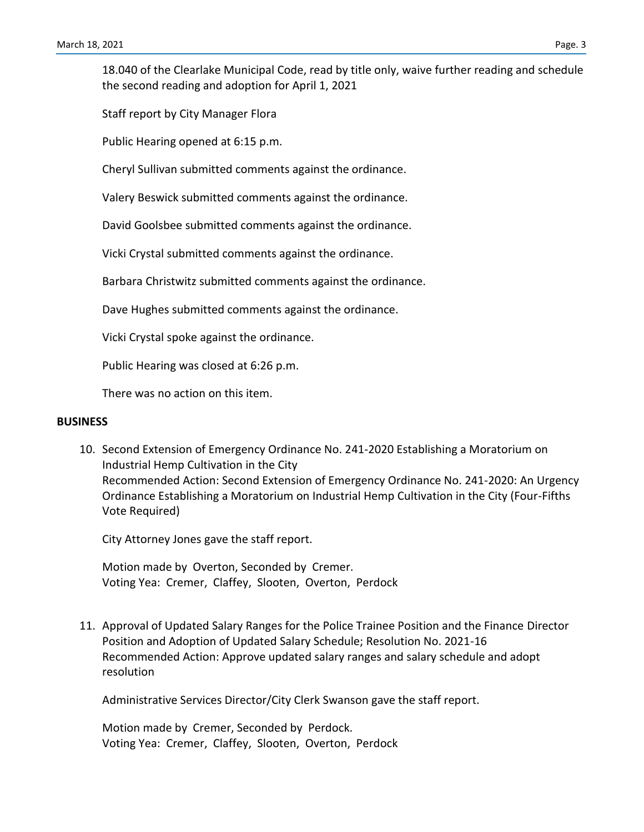18.040 of the Clearlake Municipal Code, read by title only, waive further reading and schedule the second reading and adoption for April 1, 2021

Staff report by City Manager Flora

Public Hearing opened at 6:15 p.m.

Cheryl Sullivan submitted comments against the ordinance.

Valery Beswick submitted comments against the ordinance.

David Goolsbee submitted comments against the ordinance.

Vicki Crystal submitted comments against the ordinance.

Barbara Christwitz submitted comments against the ordinance.

Dave Hughes submitted comments against the ordinance.

Vicki Crystal spoke against the ordinance.

Public Hearing was closed at 6:26 p.m.

There was no action on this item.

#### **BUSINESS**

10. Second Extension of Emergency Ordinance No. 241-2020 Establishing a Moratorium on Industrial Hemp Cultivation in the City Recommended Action: Second Extension of Emergency Ordinance No. 241-2020: An Urgency Ordinance Establishing a Moratorium on Industrial Hemp Cultivation in the City (Four-Fifths Vote Required)

City Attorney Jones gave the staff report.

Motion made by Overton, Seconded by Cremer. Voting Yea: Cremer, Claffey, Slooten, Overton, Perdock

11. Approval of Updated Salary Ranges for the Police Trainee Position and the Finance Director Position and Adoption of Updated Salary Schedule; Resolution No. 2021-16 Recommended Action: Approve updated salary ranges and salary schedule and adopt resolution

Administrative Services Director/City Clerk Swanson gave the staff report.

Motion made by Cremer, Seconded by Perdock. Voting Yea: Cremer, Claffey, Slooten, Overton, Perdock